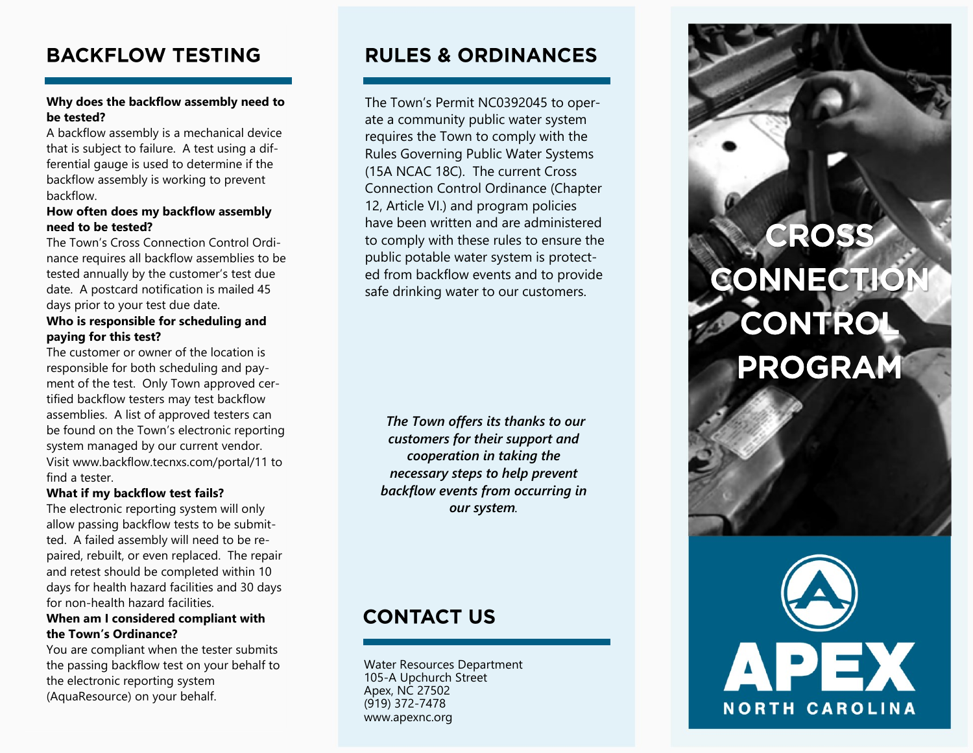## **BACKFLOW TESTING**

### **Why does the backflow assembly need to be tested?**

A backflow assembly is a mechanical device that is subject to failure. A test using a differential gauge is used to determine if the backflow assembly is working to prevent backflow.

### **How often does my backflow assembly need to be tested?**

The Town's Cross Connection Control Ordinance requires all backflow assemblies to be tested annually by the customer's test due date. A postcard notification is mailed 45 days prior to your test due date.

### **Who is responsible for scheduling and paying for this test?**

The customer or owner of the location is responsible for both scheduling and payment of the test. Only Town approved certified backflow testers may test backflow assemblies. A list of approved testers can be found on the Town's electronic reporting system managed by our current vendor. Visit www.backflow.tecnxs.com/portal/11 to find a tester.

### **What if my backflow test fails?**

The electronic reporting system will only allow passing backflow tests to be submitted. A failed assembly will need to be repaired, rebuilt, or even replaced. The repair and retest should be completed within 10 days for health hazard facilities and 30 days for non-health hazard facilities.

### **When am I considered compliant with the Town's Ordinance?**

You are compliant when the tester submits the passing backflow test on your behalf to the electronic reporting system (AquaResource) on your behalf.

## **RULES & ORDINANCES**

The Town's Permit NC0392045 to operate a community public water system requires the Town to comply with the Rules Governing Public Water Systems (15A NCAC 18C). The current Cross Connection Control Ordinance (Chapter 12, Article VI.) and program policies have been written and are administered to comply with these rules to ensure the public potable water system is protected from backflow events and to provide safe drinking water to our customers.

*The Town offers its thanks to our customers for their support and cooperation in taking the necessary steps to help prevent backflow events from occurring in our system.*

# **CONTACT US**

Water Resources Department 105-A Upchurch Street Apex, NC 27502 (919) 372-7478 www.apexnc.org

# CROSS CONNECTIO CONTROL **PROGRAM**